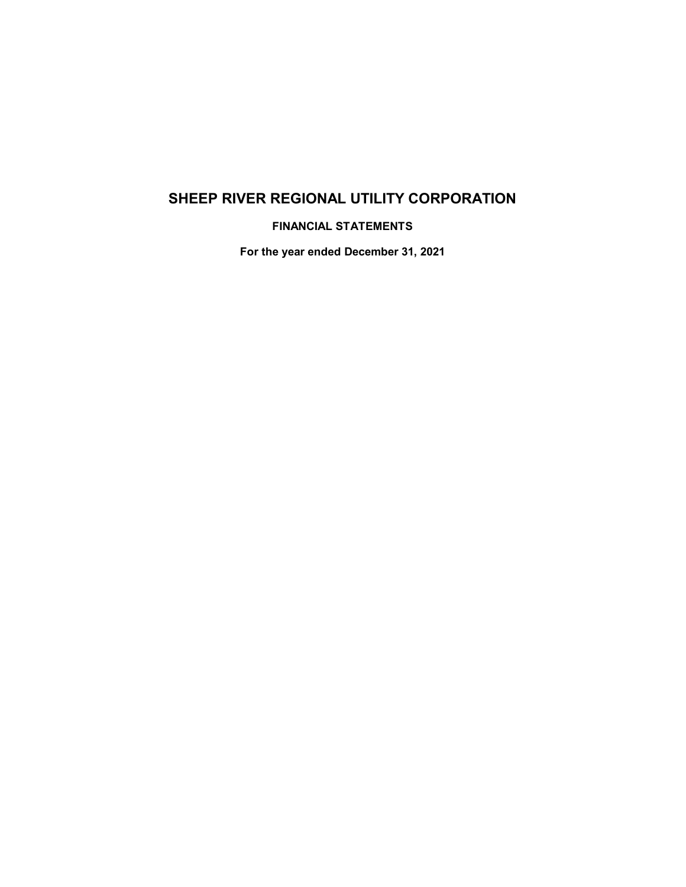### **FINANCIAL STATEMENTS**

**For the year ended December 31, 2021**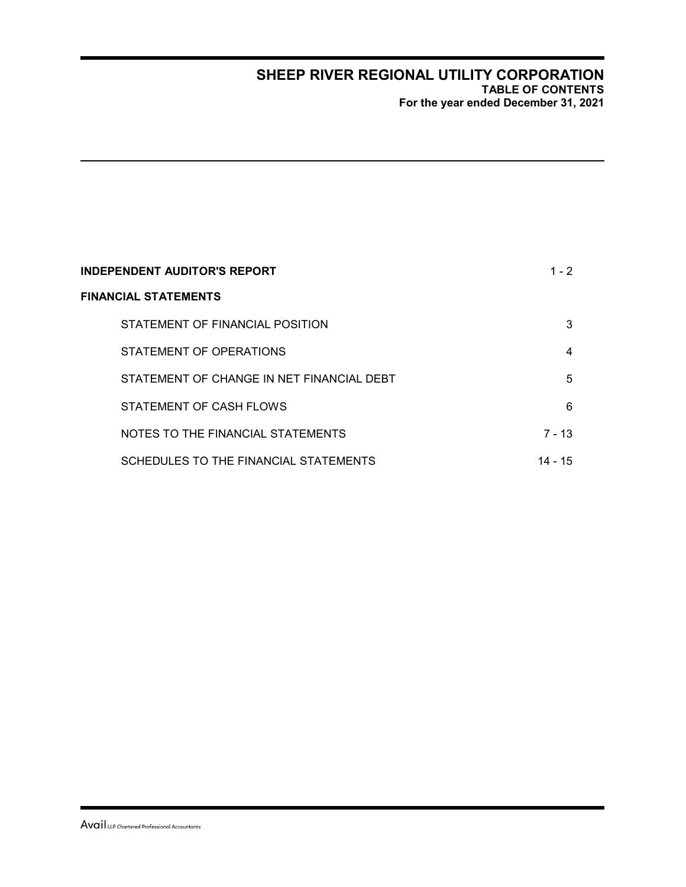### **SHEEP RIVER REGIONAL UTILITY CORPORATION TABLE OF CONTENTS For the year ended December 31, 2021**

| <b>INDEPENDENT AUDITOR'S REPORT</b>       | 1 - 2    |
|-------------------------------------------|----------|
| <b>FINANCIAL STATEMENTS</b>               |          |
| STATEMENT OF FINANCIAL POSITION           | 3        |
| STATEMENT OF OPERATIONS                   | 4        |
| STATEMENT OF CHANGE IN NET FINANCIAL DEBT | 5        |
| STATEMENT OF CASH FLOWS                   | 6        |
| NOTES TO THE FINANCIAL STATEMENTS         | $7 - 13$ |
| SCHEDULES TO THE FINANCIAL STATEMENTS     | 14 - 15  |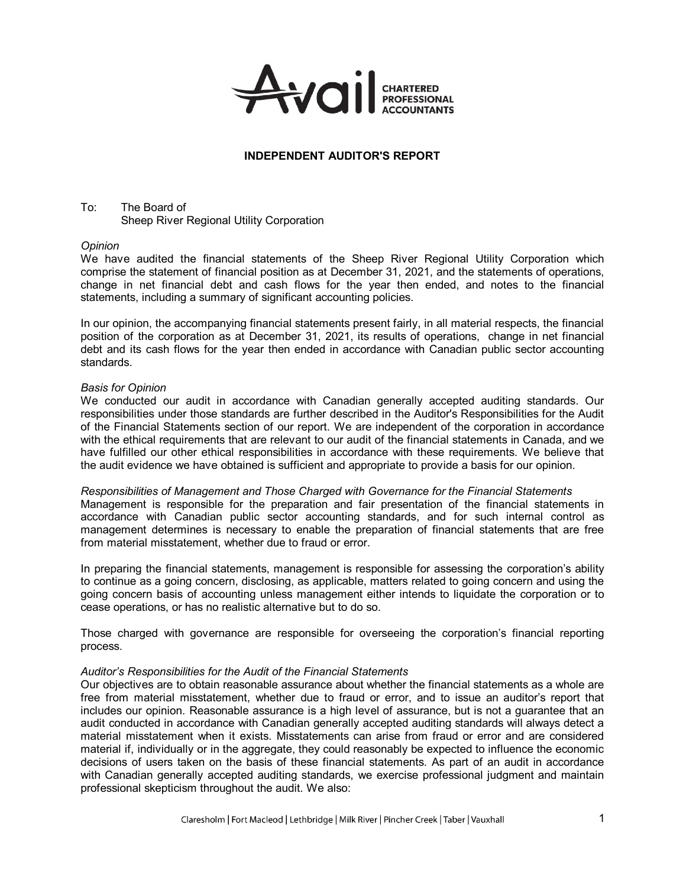

### **INDEPENDENT AUDITOR'S REPORT**

To: The Board of Sheep River Regional Utility Corporation

#### *Opinion*

We have audited the financial statements of the Sheep River Regional Utility Corporation which comprise the statement of financial position as at December 31, 2021, and the statements of operations, change in net financial debt and cash flows for the year then ended, and notes to the financial statements, including a summary of significant accounting policies.

In our opinion, the accompanying financial statements present fairly, in all material respects, the financial position of the corporation as at December 31, 2021, its results of operations, change in net financial debt and its cash flows for the year then ended in accordance with Canadian public sector accounting standards.

#### *Basis for Opinion*

We conducted our audit in accordance with Canadian generally accepted auditing standards. Our responsibilities under those standards are further described in the Auditor's Responsibilities for the Audit of the Financial Statements section of our report. We are independent of the corporation in accordance with the ethical requirements that are relevant to our audit of the financial statements in Canada, and we have fulfilled our other ethical responsibilities in accordance with these requirements. We believe that the audit evidence we have obtained is sufficient and appropriate to provide a basis for our opinion.

### *Responsibilities of Management and Those Charged with Governance for the Financial Statements*

Management is responsible for the preparation and fair presentation of the financial statements in accordance with Canadian public sector accounting standards, and for such internal control as management determines is necessary to enable the preparation of financial statements that are free from material misstatement, whether due to fraud or error.

In preparing the financial statements, management is responsible for assessing the corporation's ability to continue as a going concern, disclosing, as applicable, matters related to going concern and using the going concern basis of accounting unless management either intends to liquidate the corporation or to cease operations, or has no realistic alternative but to do so.

Those charged with governance are responsible for overseeing the corporation's financial reporting process.

### *Auditor's Responsibilities for the Audit of the Financial Statements*

Our objectives are to obtain reasonable assurance about whether the financial statements as a whole are free from material misstatement, whether due to fraud or error, and to issue an auditor's report that includes our opinion. Reasonable assurance is a high level of assurance, but is not a guarantee that an audit conducted in accordance with Canadian generally accepted auditing standards will always detect a material misstatement when it exists. Misstatements can arise from fraud or error and are considered material if, individually or in the aggregate, they could reasonably be expected to influence the economic decisions of users taken on the basis of these financial statements. As part of an audit in accordance with Canadian generally accepted auditing standards, we exercise professional judgment and maintain professional skepticism throughout the audit. We also: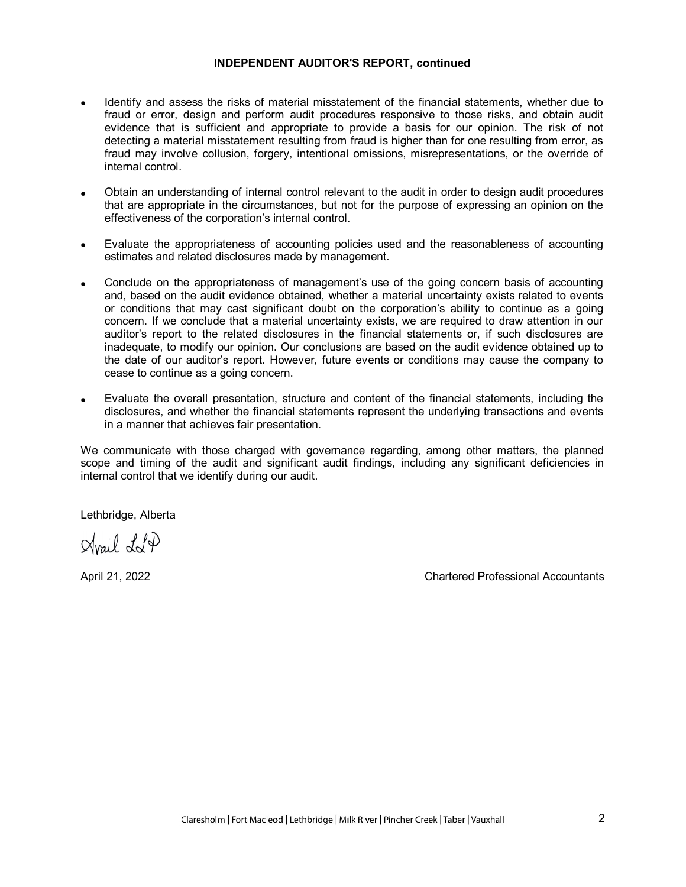#### **INDEPENDENT AUDITOR'S REPORT, continued**

- Identify and assess the risks of material misstatement of the financial statements, whether due to fraud or error, design and perform audit procedures responsive to those risks, and obtain audit evidence that is sufficient and appropriate to provide a basis for our opinion. The risk of not detecting a material misstatement resulting from fraud is higher than for one resulting from error, as fraud may involve collusion, forgery, intentional omissions, misrepresentations, or the override of internal control.
- · Obtain an understanding of internal control relevant to the audit in order to design audit procedures that are appropriate in the circumstances, but not for the purpose of expressing an opinion on the effectiveness of the corporation's internal control.
- · Evaluate the appropriateness of accounting policies used and the reasonableness of accounting estimates and related disclosures made by management.
- · Conclude on the appropriateness of management's use of the going concern basis of accounting and, based on the audit evidence obtained, whether a material uncertainty exists related to events or conditions that may cast significant doubt on the corporation's ability to continue as a going concern. If we conclude that a material uncertainty exists, we are required to draw attention in our auditor's report to the related disclosures in the financial statements or, if such disclosures are inadequate, to modify our opinion. Our conclusions are based on the audit evidence obtained up to the date of our auditor's report. However, future events or conditions may cause the company to cease to continue as a going concern.
- Evaluate the overall presentation, structure and content of the financial statements, including the disclosures, and whether the financial statements represent the underlying transactions and events in a manner that achieves fair presentation.

We communicate with those charged with governance regarding, among other matters, the planned scope and timing of the audit and significant audit findings, including any significant deficiencies in internal control that we identify during our audit.

Lethbridge, Alberta

Strail LLP

April 21, 2022 Chartered Professional Accountants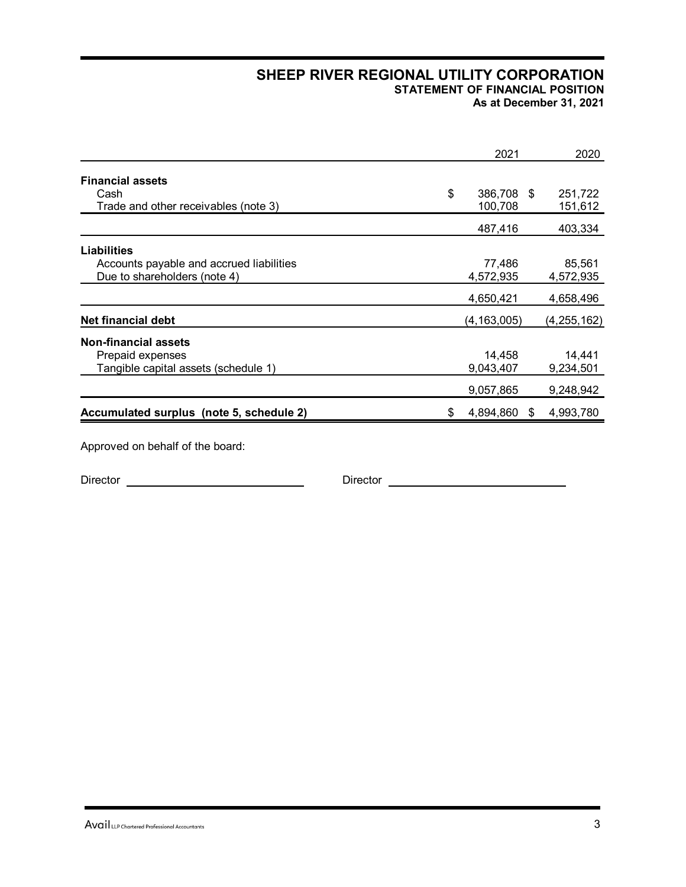**STATEMENT OF FINANCIAL POSITION As at December 31, 2021**

|                                                                         |    | 2021                  |     | 2020               |
|-------------------------------------------------------------------------|----|-----------------------|-----|--------------------|
| <b>Financial assets</b><br>Cash<br>Trade and other receivables (note 3) | \$ | 386,708 \$<br>100,708 |     | 251,722<br>151,612 |
|                                                                         |    | 487,416               |     | 403,334            |
| <b>Liabilities</b><br>Accounts payable and accrued liabilities          |    | 77,486                |     | 85,561             |
| Due to shareholders (note 4)                                            |    | 4,572,935             |     | 4,572,935          |
|                                                                         |    | 4,650,421             |     | 4,658,496          |
| Net financial debt                                                      |    | (4, 163, 005)         |     | (4,255,162)        |
| <b>Non-financial assets</b>                                             |    |                       |     |                    |
| Prepaid expenses                                                        |    | 14,458                |     | 14,441             |
| Tangible capital assets (schedule 1)                                    |    | 9,043,407             |     | 9,234,501          |
|                                                                         |    | 9,057,865             |     | 9,248,942          |
| Accumulated surplus (note 5, schedule 2)                                | S  | 4,894,860             | \$. | 4,993,780          |

Approved on behalf of the board:

Director Director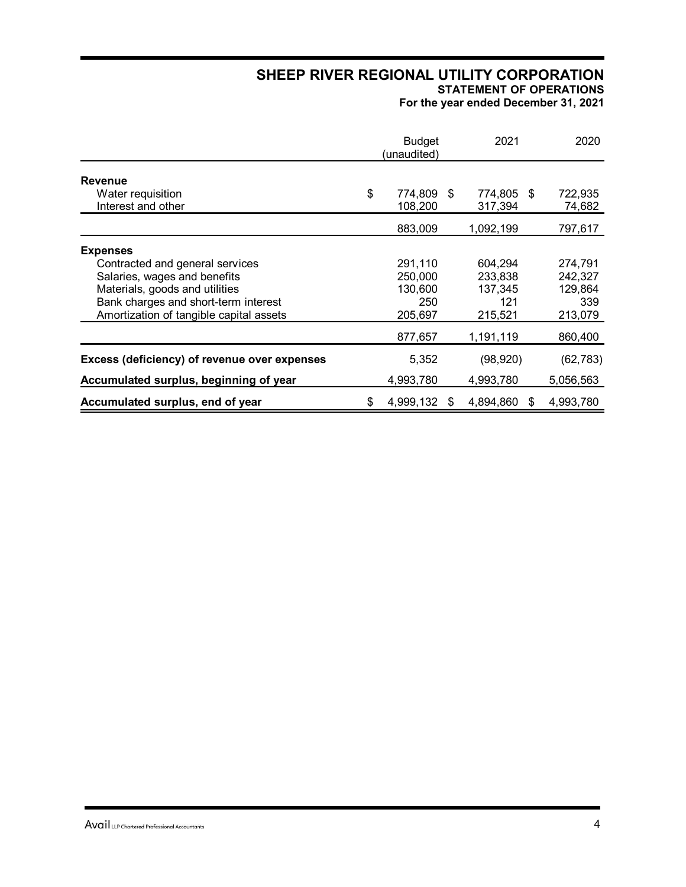**STATEMENT OF OPERATIONS**

|  |  |  |  | For the year ended December 31, 2021 |  |  |
|--|--|--|--|--------------------------------------|--|--|
|--|--|--|--|--------------------------------------|--|--|

|                                              | <b>Budget</b><br>(unaudited) | 2021            | 2020            |
|----------------------------------------------|------------------------------|-----------------|-----------------|
| <b>Revenue</b>                               |                              |                 |                 |
| Water requisition                            | \$<br>774,809 \$             | 774,805 \$      | 722,935         |
| Interest and other                           | 108,200                      | 317,394         | 74,682          |
|                                              | 883,009                      | 1,092,199       | 797,617         |
| <b>Expenses</b>                              |                              |                 |                 |
| Contracted and general services              | 291,110                      | 604,294         | 274,791         |
| Salaries, wages and benefits                 | 250,000                      | 233,838         | 242,327         |
| Materials, goods and utilities               | 130,600                      | 137,345         | 129,864         |
| Bank charges and short-term interest         | 250                          | 121             | 339             |
| Amortization of tangible capital assets      | 205,697                      | 215,521         | 213,079         |
|                                              | 877,657                      | 1,191,119       | 860,400         |
| Excess (deficiency) of revenue over expenses | 5,352                        | (98, 920)       | (62, 783)       |
| Accumulated surplus, beginning of year       | 4,993,780                    | 4,993,780       | 5,056,563       |
| Accumulated surplus, end of year             | \$<br>4,999,132              | 4,894,860<br>\$ | 4,993,780<br>\$ |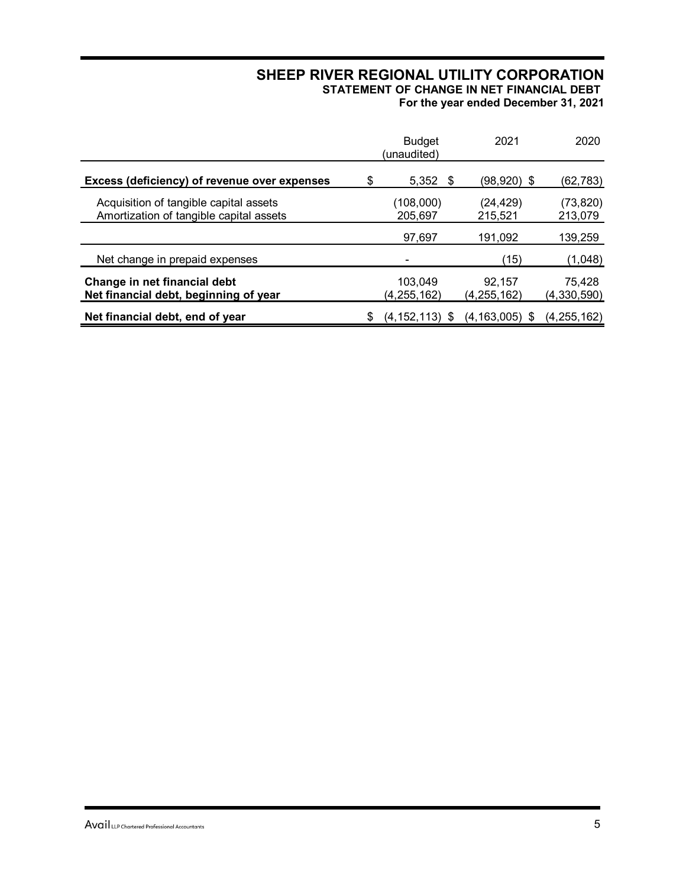### **SHEEP RIVER REGIONAL UTILITY CORPORATION STATEMENT OF CHANGE IN NET FINANCIAL DEBT**

**For the year ended December 31, 2021**

|                                                                                   | <b>Budget</b><br>(unaudited) |      | 2021                  | 2020                  |
|-----------------------------------------------------------------------------------|------------------------------|------|-----------------------|-----------------------|
| Excess (deficiency) of revenue over expenses                                      | \$<br>5,352                  | - \$ | (98,920) \$           | (62,783)              |
| Acquisition of tangible capital assets<br>Amortization of tangible capital assets | (108,000)<br>205,697         |      | (24, 429)<br>215,521  | (73, 820)<br>213,079  |
|                                                                                   | 97,697                       |      | 191.092               | 139,259               |
| Net change in prepaid expenses                                                    |                              |      | (15)                  | (1,048)               |
| Change in net financial debt<br>Net financial debt, beginning of year             | 103,049<br>(4, 255, 162)     |      | 92,157<br>(4,255,162) | 75,428<br>(4,330,590) |
| Net financial debt, end of year                                                   | \$<br>$(4, 152, 113)$ \$     |      | $(4, 163, 005)$ \$    | (4, 255, 162)         |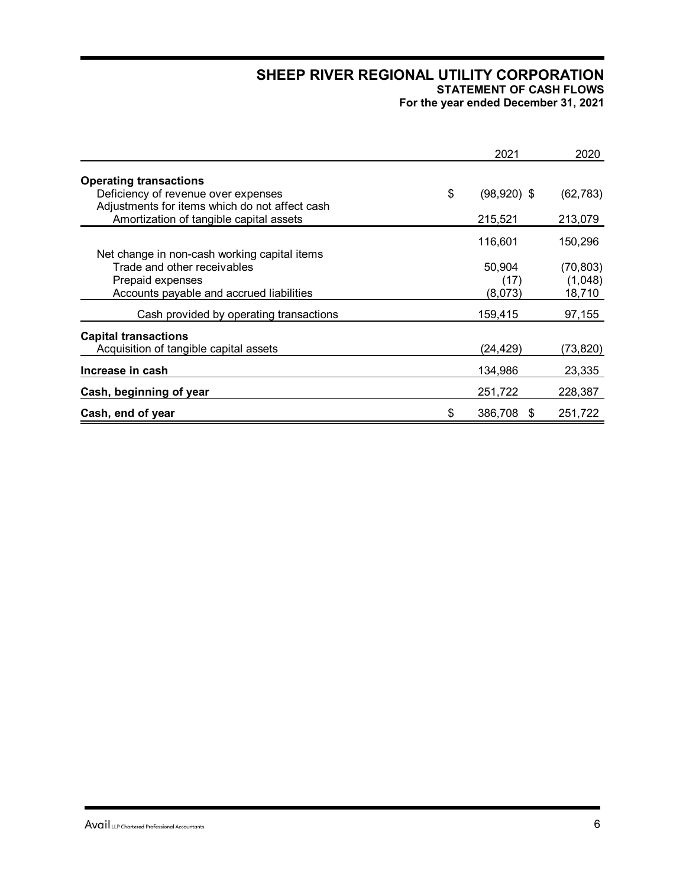**STATEMENT OF CASH FLOWS**

**For the year ended December 31, 2021**

|                                                | 2021                | 2020      |
|------------------------------------------------|---------------------|-----------|
| <b>Operating transactions</b>                  |                     |           |
| Deficiency of revenue over expenses            | \$<br>$(98,920)$ \$ | (62, 783) |
| Adjustments for items which do not affect cash |                     |           |
| Amortization of tangible capital assets        | 215,521             | 213,079   |
|                                                | 116,601             | 150,296   |
| Net change in non-cash working capital items   |                     |           |
| Trade and other receivables                    | 50,904              | (70, 803) |
| Prepaid expenses                               | (17)                | (1,048)   |
| Accounts payable and accrued liabilities       | (8,073)             | 18,710    |
| Cash provided by operating transactions        | 159,415             | 97,155    |
| <b>Capital transactions</b>                    |                     |           |
| Acquisition of tangible capital assets         | (24,429)            | (73, 820) |
| Increase in cash                               | 134,986             | 23,335    |
| Cash, beginning of year                        | 251,722             | 228,387   |
| Cash, end of year                              | \$<br>386,708<br>\$ | 251,722   |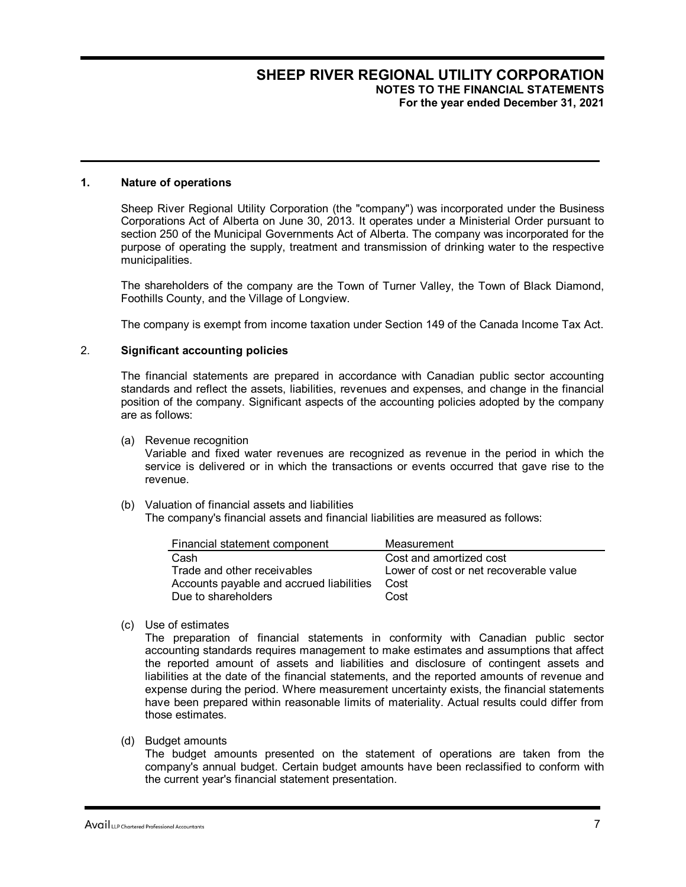**NOTES TO THE FINANCIAL STATEMENTS For the year ended December 31, 2021**

### **1. Nature of operations**

Sheep River Regional Utility Corporation (the "company") was incorporated under the Business Corporations Act of Alberta on June 30, 2013. It operates under a Ministerial Order pursuant to section 250 of the Municipal Governments Act of Alberta. The company was incorporated for the purpose of operating the supply, treatment and transmission of drinking water to the respective municipalities.

The shareholders of the company are the Town of Turner Valley, the Town of Black Diamond, Foothills County, and the Village of Longview.

The company is exempt from income taxation under Section 149 of the Canada Income Tax Act.

### 2. **Significant accounting policies**

The financial statements are prepared in accordance with Canadian public sector accounting standards and reflect the assets, liabilities, revenues and expenses, and change in the financial position of the company. Significant aspects of the accounting policies adopted by the company are as follows:

- (a) Revenue recognition Variable and fixed water revenues are recognized as revenue in the period in which the service is delivered or in which the transactions or events occurred that gave rise to the revenue.
- (b) Valuation of financial assets and liabilities

The company's financial assets and financial liabilities are measured as follows:

| Financial statement component            | Measurement                            |
|------------------------------------------|----------------------------------------|
| Cash                                     | Cost and amortized cost                |
| Trade and other receivables              | Lower of cost or net recoverable value |
| Accounts payable and accrued liabilities | Cost                                   |
| Due to shareholders                      | Cost                                   |

(c) Use of estimates

The preparation of financial statements in conformity with Canadian public sector accounting standards requires management to make estimates and assumptions that affect the reported amount of assets and liabilities and disclosure of contingent assets and liabilities at the date of the financial statements, and the reported amounts of revenue and expense during the period. Where measurement uncertainty exists, the financial statements have been prepared within reasonable limits of materiality. Actual results could differ from those estimates.

(d) Budget amounts

The budget amounts presented on the statement of operations are taken from the company's annual budget. Certain budget amounts have been reclassified to conform with the current year's financial statement presentation.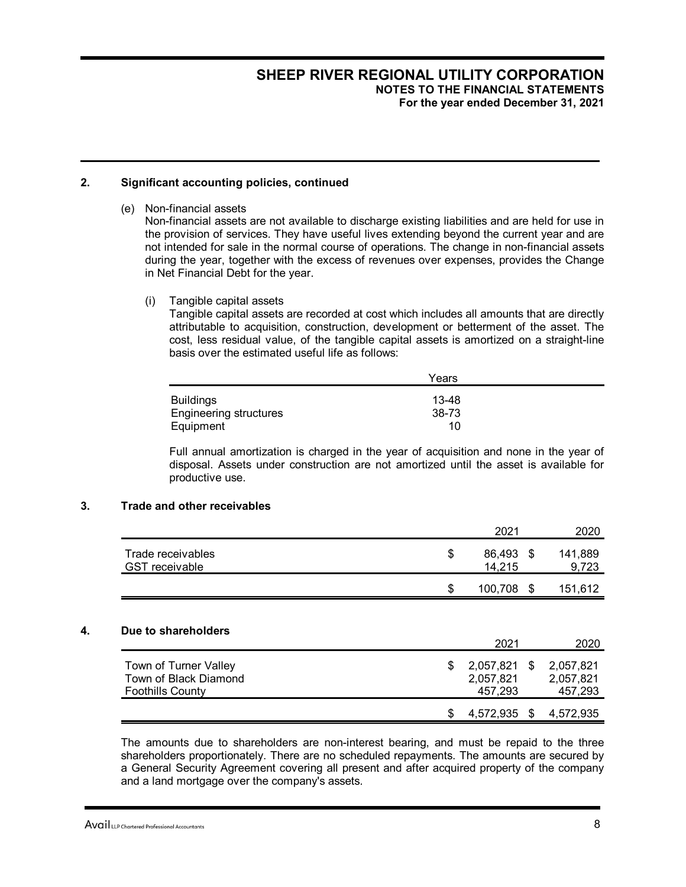**NOTES TO THE FINANCIAL STATEMENTS For the year ended December 31, 2021**

### **2. Significant accounting policies, continued**

(e) Non-financial assets

Non-financial assets are not available to discharge existing liabilities and are held for use in the provision of services. They have useful lives extending beyond the current year and are not intended for sale in the normal course of operations. The change in non-financial assets during the year, together with the excess of revenues over expenses, provides the Change in Net Financial Debt for the year.

(i) Tangible capital assets

Tangible capital assets are recorded at cost which includes all amounts that are directly attributable to acquisition, construction, development or betterment of the asset. The cost, less residual value, of the tangible capital assets is amortized on a straight-line basis over the estimated useful life as follows:

|                               | Years |  |
|-------------------------------|-------|--|
| <b>Buildings</b>              | 13-48 |  |
| <b>Engineering structures</b> | 38-73 |  |
| Equipment                     | 10    |  |

Full annual amortization is charged in the year of acquisition and none in the year of disposal. Assets under construction are not amortized until the asset is available for productive use.

### **3. Trade and other receivables**

|                                            |   | 2021             |      | 2020             |
|--------------------------------------------|---|------------------|------|------------------|
| Trade receivables<br><b>GST</b> receivable | S | 86.493<br>14,215 | - \$ | 141,889<br>9,723 |
|                                            |   | 100,708          | - \$ | 151,612          |

### **4. Due to shareholders**

|                                                | 2021                      | 2020                   |
|------------------------------------------------|---------------------------|------------------------|
| Town of Turner Valley<br>Town of Black Diamond | 2,057,821 \$<br>2,057,821 | 2.057.821<br>2,057,821 |
| <b>Foothills County</b>                        | 457.293                   | 457,293                |
|                                                |                           | 4,572,935 \$ 4,572,935 |

The amounts due to shareholders are non-interest bearing, and must be repaid to the three shareholders proportionately. There are no scheduled repayments. The amounts are secured by a General Security Agreement covering all present and after acquired property of the company and a land mortgage over the company's assets.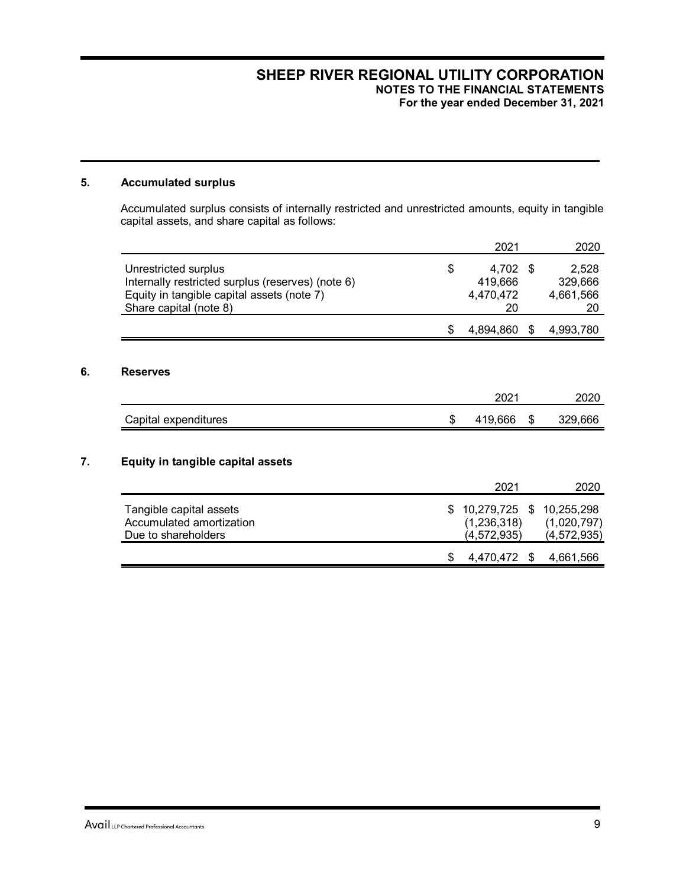**NOTES TO THE FINANCIAL STATEMENTS For the year ended December 31, 2021**

### **5. Accumulated surplus**

**6. Reserves**

Accumulated surplus consists of internally restricted and unrestricted amounts, equity in tangible capital assets, and share capital as follows:

|                                                                                                                                                   | 2021                                                | 2020                                     |
|---------------------------------------------------------------------------------------------------------------------------------------------------|-----------------------------------------------------|------------------------------------------|
| Unrestricted surplus<br>Internally restricted surplus (reserves) (note 6)<br>Equity in tangible capital assets (note 7)<br>Share capital (note 8) | \$<br>4,702 \$<br>419,666<br>4,470,472<br>20        | 2,528<br>329,666<br>4,661,566<br>20      |
|                                                                                                                                                   | \$<br>4,894,860                                     | \$<br>4,993,780                          |
| <b>Reserves</b>                                                                                                                                   | 2021                                                | 2020                                     |
| Capital expenditures                                                                                                                              | \$<br>419,666                                       | \$<br>329,666                            |
| Equity in tangible capital assets                                                                                                                 | 2021                                                | 2020                                     |
| Tangible capital assets<br>Accumulated amortization<br>Due to shareholders                                                                        | \$<br>10,279,725 \$<br>(1, 236, 318)<br>(4,572,935) | 10,255,298<br>(1,020,797)<br>(4,572,935) |
|                                                                                                                                                   | \$<br>4,470,472 \$                                  | 4,661,566                                |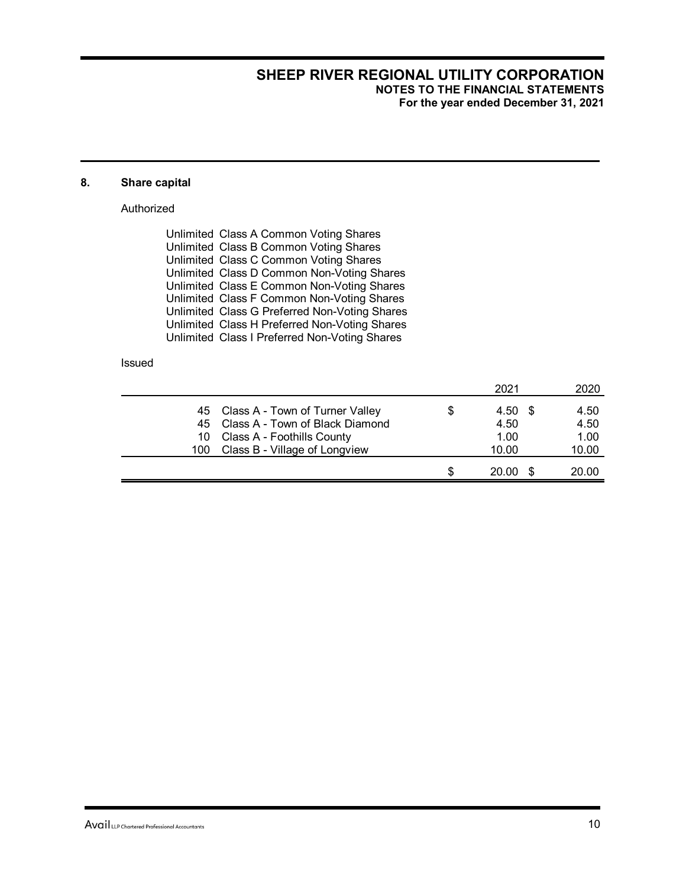**NOTES TO THE FINANCIAL STATEMENTS For the year ended December 31, 2021**

### **8. Share capital**

#### Authorized

| Unlimited Class A Common Voting Shares        |
|-----------------------------------------------|
| Unlimited Class B Common Voting Shares        |
| Unlimited Class C Common Voting Shares        |
| Unlimited Class D Common Non-Voting Shares    |
| Unlimited Class E Common Non-Voting Shares    |
| Unlimited Class F Common Non-Voting Shares    |
| Unlimited Class G Preferred Non-Voting Shares |
| Unlimited Class H Preferred Non-Voting Shares |
| Unlimited Class I Preferred Non-Voting Shares |

### Issued

|                 |                                                                                                                                      | 2021                                   |    | 2020                          |
|-----------------|--------------------------------------------------------------------------------------------------------------------------------------|----------------------------------------|----|-------------------------------|
| 45<br>10<br>100 | 45 Class A - Town of Turner Valley<br>Class A - Town of Black Diamond<br>Class A - Foothills County<br>Class B - Village of Longview | \$<br>4.50 \$<br>4.50<br>1.00<br>10.00 |    | 4.50<br>4.50<br>1.00<br>10.00 |
|                 |                                                                                                                                      | 20.00                                  | -S | 20.00                         |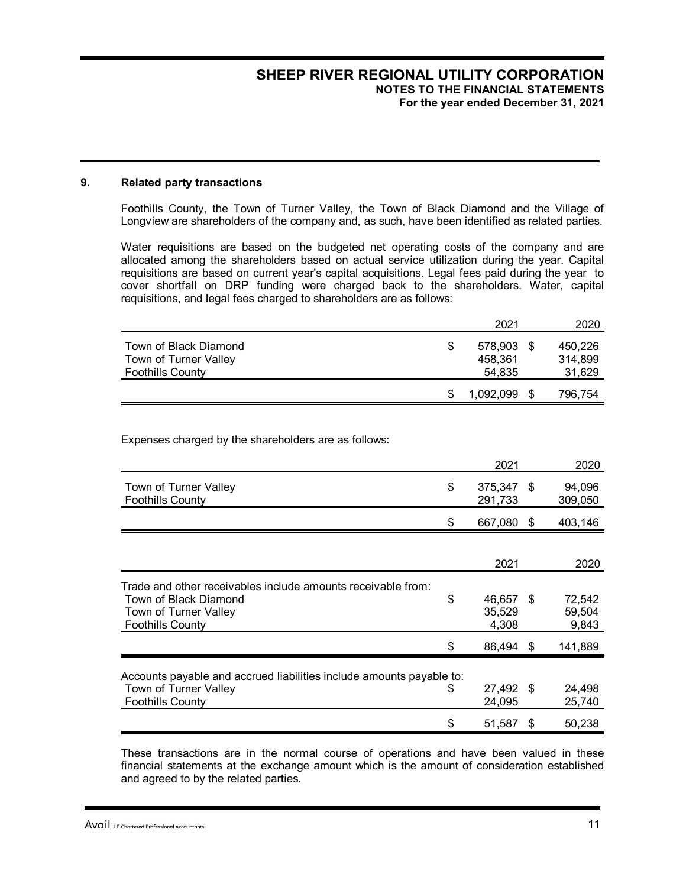**NOTES TO THE FINANCIAL STATEMENTS For the year ended December 31, 2021**

### **9. Related party transactions**

Foothills County, the Town of Turner Valley, the Town of Black Diamond and the Village of Longview are shareholders of the company and, as such, have been identified as related parties.

Water requisitions are based on the budgeted net operating costs of the company and are allocated among the shareholders based on actual service utilization during the year. Capital requisitions are based on current year's capital acquisitions. Legal fees paid during the year to cover shortfall on DRP funding were charged back to the shareholders. Water, capital requisitions, and legal fees charged to shareholders are as follows:

|                                                                           | 2021                         |      | 2020                         |
|---------------------------------------------------------------------------|------------------------------|------|------------------------------|
| Town of Black Diamond<br>Town of Turner Valley<br><b>Foothills County</b> | 578.903<br>458.361<br>54.835 | - \$ | 450,226<br>314,899<br>31,629 |
|                                                                           | 1.092.099                    | S    | 796.754                      |

Expenses charged by the shareholders are as follows:

|                                                                                                                                           | 2021                            |     | 2020                      |
|-------------------------------------------------------------------------------------------------------------------------------------------|---------------------------------|-----|---------------------------|
| Town of Turner Valley<br><b>Foothills County</b>                                                                                          | \$<br>375,347<br>291,733        | \$  | 94,096<br>309,050         |
|                                                                                                                                           | \$<br>667,080                   | \$  | 403,146                   |
|                                                                                                                                           |                                 |     |                           |
|                                                                                                                                           | 2021                            |     | 2020                      |
| Trade and other receivables include amounts receivable from:<br>Town of Black Diamond<br>Town of Turner Valley<br><b>Foothills County</b> | \$<br>46,657<br>35,529<br>4,308 | -\$ | 72,542<br>59,504<br>9,843 |
|                                                                                                                                           | \$<br>86,494                    | \$  | 141,889                   |
| Accounts payable and accrued liabilities include amounts payable to:<br>Town of Turner Valley<br><b>Foothills County</b>                  | \$<br>27,492 \$<br>24,095       |     | 24,498<br>25,740          |
|                                                                                                                                           | \$<br>51,587                    | S   | 50,238                    |

These transactions are in the normal course of operations and have been valued in these financial statements at the exchange amount which is the amount of consideration established and agreed to by the related parties.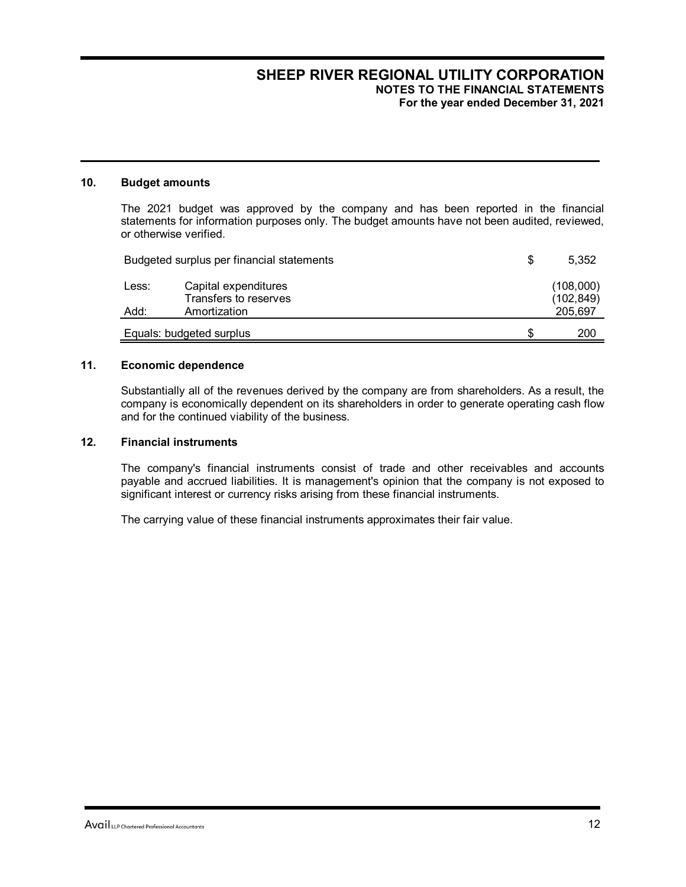**NOTES TO THE FINANCIAL STATEMENTS For the year ended December 31, 2021**

### **10. Budget amounts**

The 2021 budget was approved by the company and has been reported in the financial statements for information purposes only. The budget amounts have not been audited, reviewed, or otherwise verified.

| Budgeted surplus per financial statements |                                               |     | 5.352                   |
|-------------------------------------------|-----------------------------------------------|-----|-------------------------|
| Less:                                     | Capital expenditures<br>Transfers to reserves |     | (108,000)<br>(102, 849) |
| Add:                                      | Amortization                                  |     | 205,697                 |
| Equals: budgeted surplus                  |                                               | 200 |                         |

### **11. Economic dependence**

Substantially all of the revenues derived by the company are from shareholders. As a result, the company is economically dependent on its shareholders in order to generate operating cash flow and for the continued viability of the business.

#### **12. Financial instruments**

The company's financial instruments consist of trade and other receivables and accounts payable and accrued liabilities. It is management's opinion that the company is not exposed to significant interest or currency risks arising from these financial instruments.

The carrying value of these financial instruments approximates their fair value.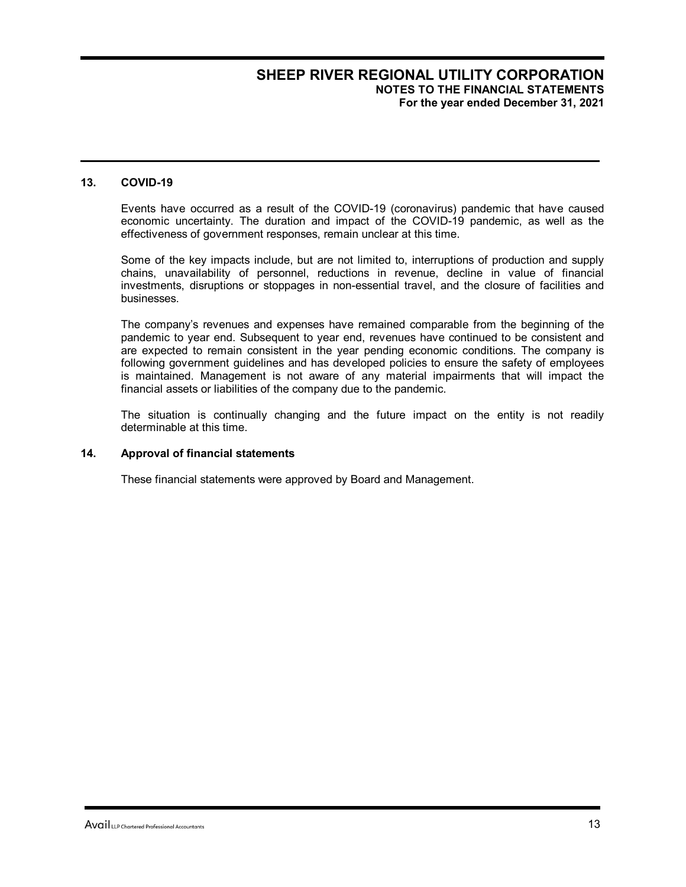**NOTES TO THE FINANCIAL STATEMENTS For the year ended December 31, 2021**

### **13. COVID-19**

Events have occurred as a result of the COVID-19 (coronavirus) pandemic that have caused economic uncertainty. The duration and impact of the COVID-19 pandemic, as well as the effectiveness of government responses, remain unclear at this time.

Some of the key impacts include, but are not limited to, interruptions of production and supply chains, unavailability of personnel, reductions in revenue, decline in value of financial investments, disruptions or stoppages in non-essential travel, and the closure of facilities and businesses.

The company's revenues and expenses have remained comparable from the beginning of the pandemic to year end. Subsequent to year end, revenues have continued to be consistent and are expected to remain consistent in the year pending economic conditions. The company is following government guidelines and has developed policies to ensure the safety of employees is maintained. Management is not aware of any material impairments that will impact the financial assets or liabilities of the company due to the pandemic.

The situation is continually changing and the future impact on the entity is not readily determinable at this time.

### **14. Approval of financial statements**

These financial statements were approved by Board and Management.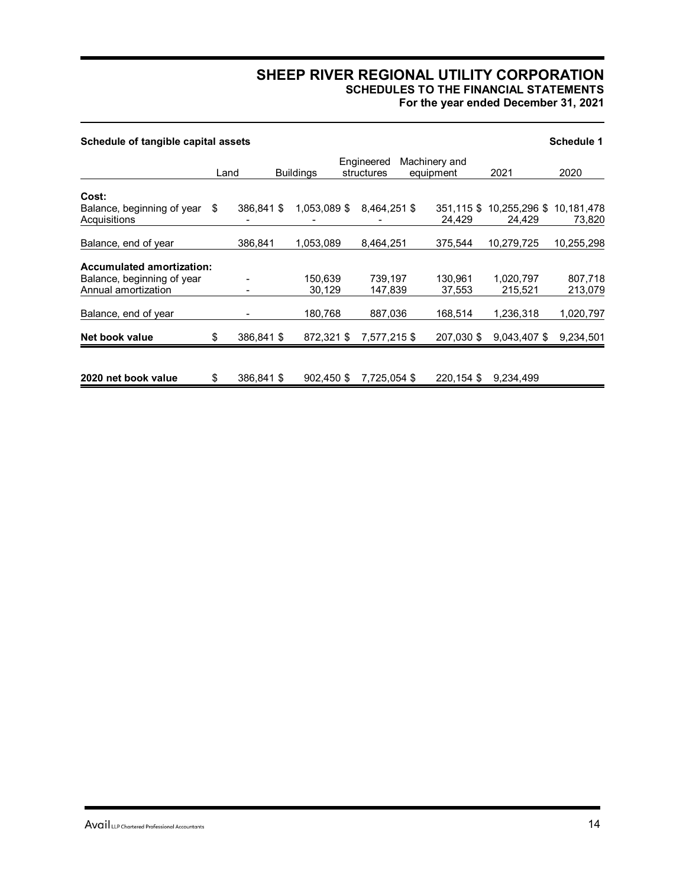**SCHEDULES TO THE FINANCIAL STATEMENTS For the year ended December 31, 2021**

| Schedule of tangible capital assets                                                   |      |            |                   |                                                        |  |                      |                         | Schedule 1           |  |
|---------------------------------------------------------------------------------------|------|------------|-------------------|--------------------------------------------------------|--|----------------------|-------------------------|----------------------|--|
|                                                                                       | Land |            | <b>Buildings</b>  | Machinery and<br>Engineered<br>structures<br>equipment |  |                      | 2021                    | 2020                 |  |
| Cost:<br>Balance, beginning of year<br>Acquisitions                                   | S    | 386.841 \$ | 1,053,089 \$      | 8.464.251 \$                                           |  | 351.115 \$<br>24,429 | 10,255,296 \$<br>24,429 | 10,181,478<br>73,820 |  |
| Balance, end of year                                                                  |      | 386,841    | 1,053,089         | 8,464,251                                              |  | 375,544              | 10,279,725              | 10,255,298           |  |
| <b>Accumulated amortization:</b><br>Balance, beginning of year<br>Annual amortization |      |            | 150.639<br>30,129 | 739,197<br>147,839                                     |  | 130,961<br>37,553    | 1,020,797<br>215,521    | 807,718<br>213,079   |  |
| Balance, end of year                                                                  |      |            | 180,768           | 887,036                                                |  | 168,514              | 1,236,318               | 1,020,797            |  |
| Net book value                                                                        | \$   | 386,841 \$ | 872,321 \$        | 7,577,215 \$                                           |  | 207,030 \$           | 9,043,407 \$            | 9,234,501            |  |
| 2020 net book value                                                                   | \$   | 386,841 \$ | 902,450 \$        | 7,725,054 \$                                           |  | 220.154 \$           | 9,234,499               |                      |  |